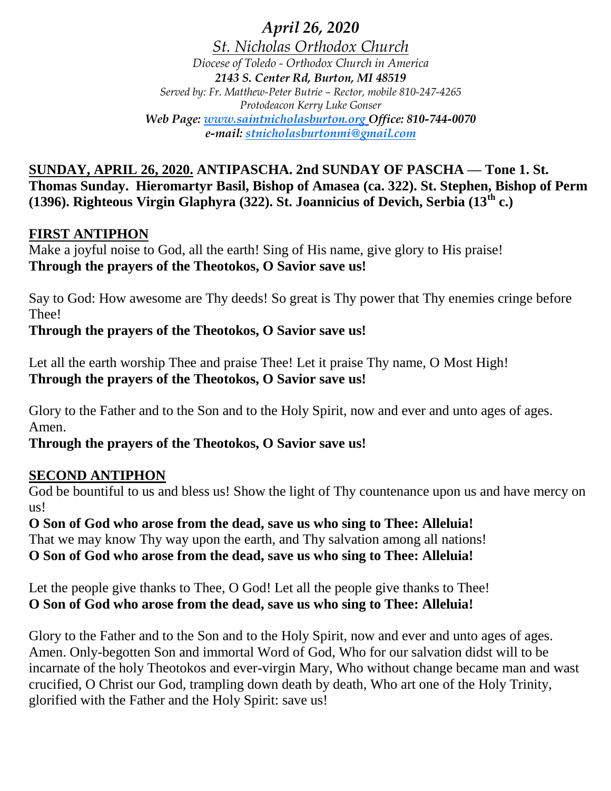*April 26, 2020*

*St. Nicholas Orthodox Church Diocese of Toledo - Orthodox Church in America 2143 S. Center Rd, Burton, MI 48519 Served by: Fr. Matthew-Peter Butrie – Rector, mobile 810-247-4265 Protodeacon Kerry Luke Gonser Web Page: www.saintnicholasburton.org Office: 810-744-0070 e-mail: stnicholasburtonmi@gmail.com*

**SUNDAY, APRIL 26, 2020. ANTIPASCHA. 2nd SUNDAY OF PASCHA — Tone 1. St. Thomas Sunday. Hieromartyr Basil, Bishop of Amasea (ca. 322). St. Stephen, Bishop of Perm (1396). Righteous Virgin Glaphyra (322). St. Joannicius of Devich, Serbia (13th c.)**

### **FIRST ANTIPHON**

Make a joyful noise to God, all the earth! Sing of His name, give glory to His praise! **Through the prayers of the Theotokos, O Savior save us!**

Say to God: How awesome are Thy deeds! So great is Thy power that Thy enemies cringe before Thee!

#### **Through the prayers of the Theotokos, O Savior save us!**

Let all the earth worship Thee and praise Thee! Let it praise Thy name, O Most High! **Through the prayers of the Theotokos, O Savior save us!**

Glory to the Father and to the Son and to the Holy Spirit, now and ever and unto ages of ages. Amen.

#### **Through the prayers of the Theotokos, O Savior save us!**

#### **SECOND ANTIPHON**

God be bountiful to us and bless us! Show the light of Thy countenance upon us and have mercy on us!

**O Son of God who arose from the dead, save us who sing to Thee: Alleluia!** That we may know Thy way upon the earth, and Thy salvation among all nations! **O Son of God who arose from the dead, save us who sing to Thee: Alleluia!**

Let the people give thanks to Thee, O God! Let all the people give thanks to Thee! **O Son of God who arose from the dead, save us who sing to Thee: Alleluia!**

Glory to the Father and to the Son and to the Holy Spirit, now and ever and unto ages of ages. Amen. Only-begotten Son and immortal Word of God, Who for our salvation didst will to be incarnate of the holy Theotokos and ever-virgin Mary, Who without change became man and wast crucified, O Christ our God, trampling down death by death, Who art one of the Holy Trinity, glorified with the Father and the Holy Spirit: save us!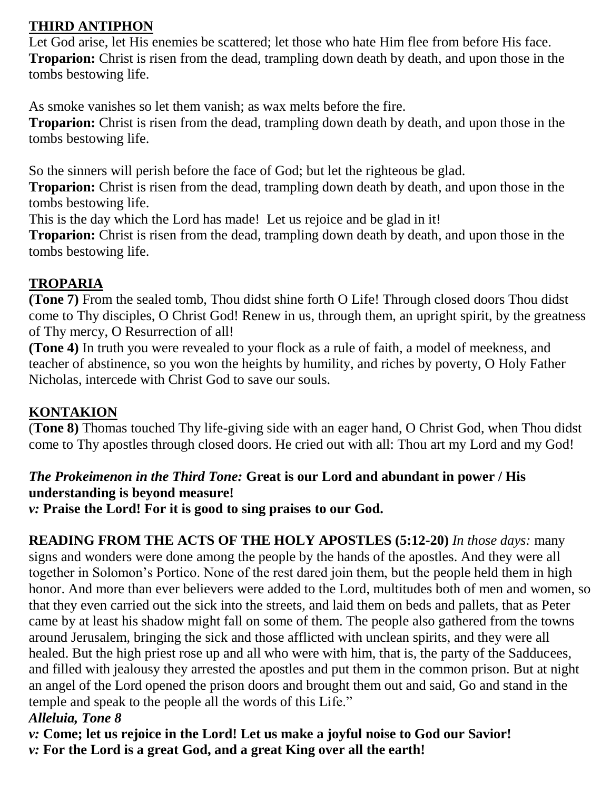# **THIRD ANTIPHON**

Let God arise, let His enemies be scattered; let those who hate Him flee from before His face. **Troparion:** Christ is risen from the dead, trampling down death by death, and upon those in the tombs bestowing life.

As smoke vanishes so let them vanish; as wax melts before the fire.

**Troparion:** Christ is risen from the dead, trampling down death by death, and upon those in the tombs bestowing life.

So the sinners will perish before the face of God; but let the righteous be glad.

**Troparion:** Christ is risen from the dead, trampling down death by death, and upon those in the tombs bestowing life.

This is the day which the Lord has made! Let us rejoice and be glad in it!

**Troparion:** Christ is risen from the dead, trampling down death by death, and upon those in the tombs bestowing life.

# **TROPARIA**

**(Tone 7)** From the sealed tomb, Thou didst shine forth O Life! Through closed doors Thou didst come to Thy disciples, O Christ God! Renew in us, through them, an upright spirit, by the greatness of Thy mercy, O Resurrection of all!

**(Tone 4)** In truth you were revealed to your flock as a rule of faith, a model of meekness, and teacher of abstinence, so you won the heights by humility, and riches by poverty, O Holy Father Nicholas, intercede with Christ God to save our souls.

# **KONTAKION**

(**Tone 8)** Thomas touched Thy life-giving side with an eager hand, O Christ God, when Thou didst come to Thy apostles through closed doors. He cried out with all: Thou art my Lord and my God!

### *The Prokeimenon in the Third Tone:* **Great is our Lord and abundant in power / His understanding is beyond measure!**

*v:* **Praise the Lord! For it is good to sing praises to our God.**

**READING FROM THE ACTS OF THE HOLY APOSTLES (5:12-20)** *In those days:* many signs and wonders were done among the people by the hands of the apostles. And they were all together in Solomon's Portico. None of the rest dared join them, but the people held them in high honor. And more than ever believers were added to the Lord, multitudes both of men and women, so that they even carried out the sick into the streets, and laid them on beds and pallets, that as Peter came by at least his shadow might fall on some of them. The people also gathered from the towns around Jerusalem, bringing the sick and those afflicted with unclean spirits, and they were all healed. But the high priest rose up and all who were with him, that is, the party of the Sadducees, and filled with jealousy they arrested the apostles and put them in the common prison. But at night an angel of the Lord opened the prison doors and brought them out and said, Go and stand in the temple and speak to the people all the words of this Life."

## *Alleluia, Tone 8*

*v:* **Come; let us rejoice in the Lord! Let us make a joyful noise to God our Savior!** *v:* **For the Lord is a great God, and a great King over all the earth!**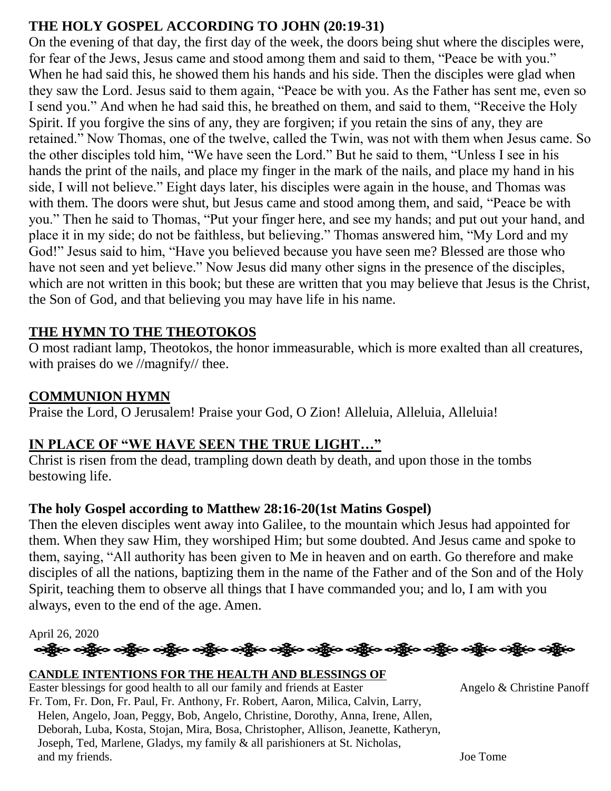# **THE HOLY GOSPEL ACCORDING TO JOHN (20:19-31)**

On the evening of that day, the first day of the week, the doors being shut where the disciples were, for fear of the Jews, Jesus came and stood among them and said to them, "Peace be with you." When he had said this, he showed them his hands and his side. Then the disciples were glad when they saw the Lord. Jesus said to them again, "Peace be with you. As the Father has sent me, even so I send you." And when he had said this, he breathed on them, and said to them, "Receive the Holy Spirit. If you forgive the sins of any, they are forgiven; if you retain the sins of any, they are retained." Now Thomas, one of the twelve, called the Twin, was not with them when Jesus came. So the other disciples told him, "We have seen the Lord." But he said to them, "Unless I see in his hands the print of the nails, and place my finger in the mark of the nails, and place my hand in his side, I will not believe." Eight days later, his disciples were again in the house, and Thomas was with them. The doors were shut, but Jesus came and stood among them, and said, "Peace be with you." Then he said to Thomas, "Put your finger here, and see my hands; and put out your hand, and place it in my side; do not be faithless, but believing." Thomas answered him, "My Lord and my God!" Jesus said to him, "Have you believed because you have seen me? Blessed are those who have not seen and yet believe." Now Jesus did many other signs in the presence of the disciples, which are not written in this book; but these are written that you may believe that Jesus is the Christ, the Son of God, and that believing you may have life in his name.

### **THE HYMN TO THE THEOTOKOS**

O most radiant lamp, Theotokos, the honor immeasurable, which is more exalted than all creatures, with praises do we //magnify// thee.

### **COMMUNION HYMN**

Praise the Lord, O Jerusalem! Praise your God, O Zion! Alleluia, Alleluia, Alleluia!

### **IN PLACE OF "WE HAVE SEEN THE TRUE LIGHT…"**

Christ is risen from the dead, trampling down death by death, and upon those in the tombs bestowing life.

#### **The holy Gospel according to Matthew 28:16-20(1st Matins Gospel)**

Then the eleven disciples went away into Galilee, to the mountain which Jesus had appointed for them. When they saw Him, they worshiped Him; but some doubted. And Jesus came and spoke to them, saying, "All authority has been given to Me in heaven and on earth. Go therefore and make disciples of all the nations, baptizing them in the name of the Father and of the Son and of the Holy Spirit, teaching them to observe all things that I have commanded you; and lo, I am with you always, even to the end of the age. Amen.

April 26, 2020



#### **CANDLE INTENTIONS FOR THE HEALTH AND BLESSINGS OF**

Easter blessings for good health to all our family and friends at Easter Angelo & Christine Panoff Fr. Tom, Fr. Don, Fr. Paul, Fr. Anthony, Fr. Robert, Aaron, Milica, Calvin, Larry, Helen, Angelo, Joan, Peggy, Bob, Angelo, Christine, Dorothy, Anna, Irene, Allen, Deborah, Luba, Kosta, Stojan, Mira, Bosa, Christopher, Allison, Jeanette, Katheryn, Joseph, Ted, Marlene, Gladys, my family & all parishioners at St. Nicholas, and my friends. Joe Tome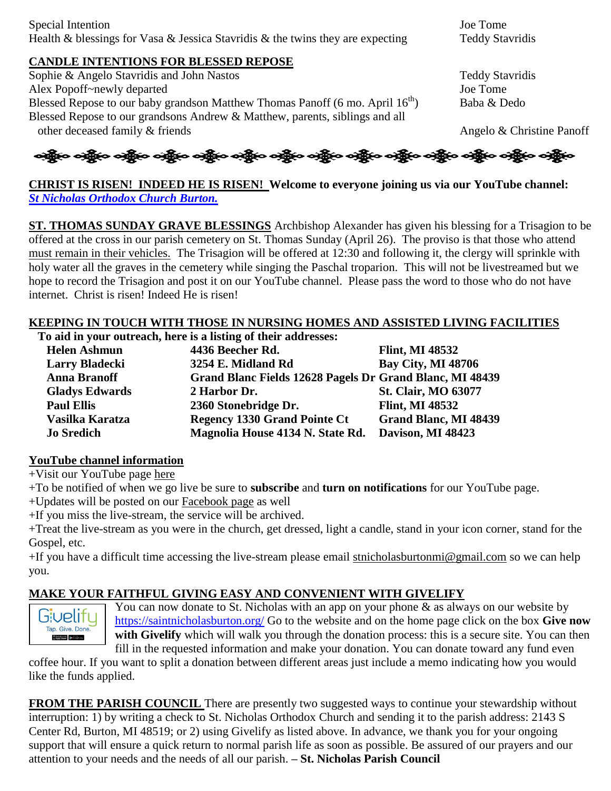#### **CANDLE INTENTIONS FOR BLESSED REPOSE**

Sophie & Angelo Stavridis and John Nastos Teddy Stavridis Alex Popoff~newly departed Joe Tome Blessed Repose to our baby grandson Matthew Thomas Panoff (6 mo. April  $16^{th}$ ) Baba & Dedo Blessed Repose to our grandsons Andrew & Matthew, parents, siblings and all other deceased family & friends Angelo & Christine Panoff



**CHRIST IS RISEN! INDEED HE IS RISEN! Welcome to everyone joining us via our YouTube channel:** *[St Nicholas Orthodox Church Burton.](https://www.youtube.com/channel/UC59tV-Re443z-GCoETAUvfA)*

**ST. THOMAS SUNDAY GRAVE BLESSINGS** Archbishop Alexander has given his blessing for a Trisagion to be offered at the cross in our parish cemetery on St. Thomas Sunday (April 26). The proviso is that those who attend must remain in their vehicles. The Trisagion will be offered at 12:30 and following it, the clergy will sprinkle with holy water all the graves in the cemetery while singing the Paschal troparion. This will not be livestreamed but we hope to record the Trisagion and post it on our YouTube channel. Please pass the word to those who do not have internet. Christ is risen! Indeed He is risen!

#### **KEEPING IN TOUCH WITH THOSE IN NURSING HOMES AND ASSISTED LIVING FACILITIES**

**To aid in your outreach, here is a listing of their addresses:**

| <b>Helen Ashmun</b>   | 4436 Beecher Rd.                                         | <b>Flint, MI 48532</b>     |
|-----------------------|----------------------------------------------------------|----------------------------|
| <b>Larry Bladecki</b> | 3254 E. Midland Rd                                       | <b>Bay City, MI 48706</b>  |
| <b>Anna Branoff</b>   | Grand Blanc Fields 12628 Pagels Dr Grand Blanc, MI 48439 |                            |
| <b>Gladys Edwards</b> | 2 Harbor Dr.                                             | <b>St. Clair, MO 63077</b> |
| <b>Paul Ellis</b>     | 2360 Stonebridge Dr.                                     | <b>Flint, MI 48532</b>     |
| Vasilka Karatza       | <b>Regency 1330 Grand Pointe Ct</b>                      | Grand Blanc, MI 48439      |
| <b>Jo Sredich</b>     | Magnolia House 4134 N. State Rd.                         | Davison, MI 48423          |

#### **YouTube channel information**

+Visit our YouTube page [here](https://www.youtube.com/channel/UC59tV-Re443z-GCoETAUvfA)

+To be notified of when we go live be sure to **subscribe** and **turn on notifications** for our YouTube page.

+Updates will be posted on our [Facebook page](https://www.facebook.com/stnicholasburton/) as well

+If you miss the live-stream, the service will be archived.

+Treat the live-stream as you were in the church, get dressed, light a candle, stand in your icon corner, stand for the Gospel, etc.

+If you have a difficult time accessing the live-stream please email [stnicholasburtonmi@gmail.com](mailto:stnicholasburtonmi@gmail.com) so we can help you.

#### **MAKE YOUR FAITHFUL GIVING EASY AND CONVENIENT WITH GIVELIFY**



You can now donate to St. Nicholas with an app on your phone & as always on our website by <https://saintnicholasburton.org/> Go to the website and on the home page click on the box **Give now with Givelify** which will walk you through the donation process: this is a secure site. You can then fill in the requested information and make your donation. You can donate toward any fund even

coffee hour. If you want to split a donation between different areas just include a memo indicating how you would like the funds applied.

**FROM THE PARISH COUNCIL** There are presently two suggested ways to continue your stewardship without interruption: 1) by writing a check to St. Nicholas Orthodox Church and sending it to the parish address: 2143 S Center Rd, Burton, MI 48519; or 2) using Givelify as listed above. In advance, we thank you for your ongoing support that will ensure a quick return to normal parish life as soon as possible. Be assured of our prayers and our attention to your needs and the needs of all our parish. **– St. Nicholas Parish Council**